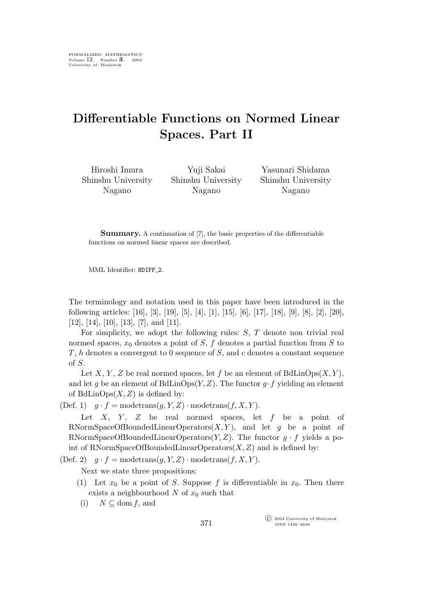## **Differentiable Functions on Normed Linear Spaces. Part II**

Hiroshi Imura Shinshu University Nagano

Yuji Sakai Shinshu University Nagano

Yasunari Shidama Shinshu University Nagano

**Summary.** A continuation of [7], the basic properties of the differentiable functions on normed linear spaces are described.

MML Identifier: NDIFF 2.

The terminology and notation used in this paper have been introduced in the following articles: [16], [3], [19], [5], [4], [1], [15], [6], [17], [18], [9], [8], [2], [20], [12], [14], [10], [13], [7], and [11].

For simplicity, we adopt the following rules:  $S$ ,  $T$  denote non trivial real normed spaces,  $x_0$  denotes a point of S, f denotes a partial function from S to T, h denotes a convergent to 0 sequence of  $S$ , and c denotes a constant sequence of S.

Let X, Y, Z be real normed spaces, let f be an element of  $BdLinOps(X, Y)$ , and let g be an element of BdLinOps $(Y, Z)$ . The functor  $g \cdot f$  yielding an element of BdLin $Ops(X, Z)$  is defined by:

(Def. 1)  $q \cdot f = \text{modetrans}(q, Y, Z) \cdot \text{modetrans}(f, X, Y).$ 

Let  $X$ ,  $Y$ ,  $Z$  be real normed spaces, let  $f$  be a point of RNormSpaceOfBoundedLinearOperators $(X, Y)$ , and let g be a point of RNormSpaceOfBoundedLinearOperators $(Y, Z)$ . The functor  $q \cdot f$  yields a point of RNormSpaceOfBoundedLinearOperators $(X, Z)$  and is defined by:

(Def. 2)  $q \cdot f = \text{modetrans}(q, Y, Z) \cdot \text{modetrans}(f, X, Y).$ 

Next we state three propositions:

- (1) Let  $x_0$  be a point of S. Suppose f is differentiable in  $x_0$ . Then there exists a neighbourhood  $N$  of  $x_0$  such that
- (i)  $N \subseteq$  dom f, and

°c 2004 University of Białystok ISSN 1426–2630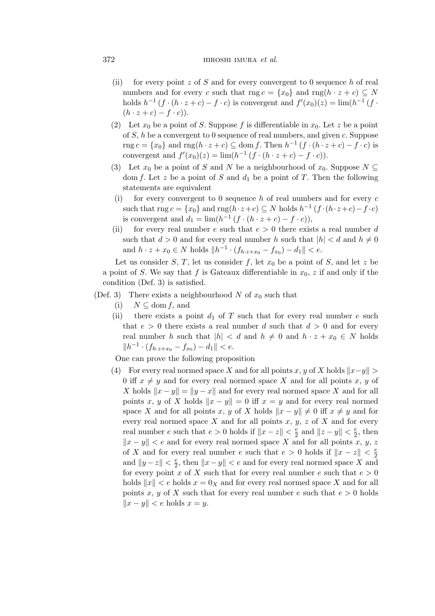## 372 hiroshi imura *et al.*

- (ii) for every point z of S and for every convergent to 0 sequence h of real numbers and for every c such that  $\text{rng } c = \{x_0\}$  and  $\text{rng}(h \cdot z + c) \subseteq N$ holds  $h^{-1}(f \cdot (h \cdot z + c) - f \cdot c)$  is convergent and  $f'(x_0)(z) = \lim_h (h^{-1}(f \cdot z))$  $(h \cdot z + c) - f \cdot c$ ).
- (2) Let  $x_0$  be a point of S. Suppose f is differentiable in  $x_0$ . Let z be a point of S, h be a convergent to 0 sequence of real numbers, and given c. Suppose rng  $c = \{x_0\}$  and rng $(h \cdot z + c) \subseteq$  dom f. Then  $h^{-1}(f \cdot (h \cdot z + c) - f \cdot c)$  is convergent and  $f'(x_0)(z) = \lim_h(h^{-1}(f \cdot (h \cdot z + c) - f \cdot c)).$
- (3) Let  $x_0$  be a point of S and N be a neighbourhood of  $x_0$ . Suppose  $N \subseteq$ dom f. Let z be a point of S and  $d_1$  be a point of T. Then the following statements are equivalent
- (i) for every convergent to 0 sequence h of real numbers and for every c such that  $\text{rng } c = \{x_0\}$  and  $\text{rng}(h \cdot z + c) \subseteq N$  holds  $h^{-1}(f \cdot (h \cdot z + c) - f \cdot c)$ is convergent and  $d_1 = \lim_h(h^{-1}(f \cdot (h \cdot z + c) - f \cdot c)),$
- (ii) for every real number e such that  $e > 0$  there exists a real number d such that  $d > 0$  and for every real number h such that  $|h| < d$  and  $h \neq 0$ and  $h \cdot z + x_0 \in N$  holds  $||h^{-1} \cdot (f_{h \cdot z + x_0} - f_{x_0}) - d_1|| < e$ .

Let us consider S, T, let us consider f, let  $x_0$  be a point of S, and let z be a point of S. We say that f is Gateaux differentiable in  $x_0$ , z if and only if the condition (Def. 3) is satisfied.

- (Def. 3) There exists a neighbourhood N of  $x_0$  such that
	- (i)  $N \subset$  dom f, and
	- (ii) there exists a point  $d_1$  of T such that for every real number e such that  $e > 0$  there exists a real number d such that  $d > 0$  and for every real number h such that  $|h| < d$  and  $h \neq 0$  and  $h \cdot z + x_0 \in N$  holds  $||h^{-1} \cdot (f_{h \cdot z + x_0} - f_{x_0}) - d_1|| < e.$

One can prove the following proposition

(4) For every real normed space X and for all points x, y of X holds  $||x-y|| >$ 0 iff  $x \neq y$  and for every real normed space X and for all points x, y of X holds  $\|x - y\| = \|y - x\|$  and for every real normed space X and for all points x, y of X holds  $\|x - y\| = 0$  iff  $x = y$  and for every real normed space X and for all points x, y of X holds  $\|x - y\| \neq 0$  iff  $x \neq y$  and for every real normed space  $X$  and for all points  $x, y, z$  of  $X$  and for every real number e such that  $e > 0$  holds if  $||x - z|| < \frac{e}{2}$  $\frac{e}{2}$  and  $||z - y|| < \frac{e}{2}$  $\frac{e}{2}$ , then  $\|x - y\| < \epsilon$  and for every real normed space X and for all points x, y, z of X and for every real number e such that  $e > 0$  holds if  $||x - z|| < \frac{e}{2}$  $\overline{2}$ and  $||y - z|| < \frac{e}{2}$  $\frac{e}{2}$ , then  $||x - y|| < e$  and for every real normed space X and for every point x of X such that for every real number e such that  $e > 0$ holds  $||x|| < e$  holds  $x = 0$ <sub>X</sub> and for every real normed space X and for all points x, y of X such that for every real number e such that  $e > 0$  holds  $||x - y|| < e$  holds  $x = y$ .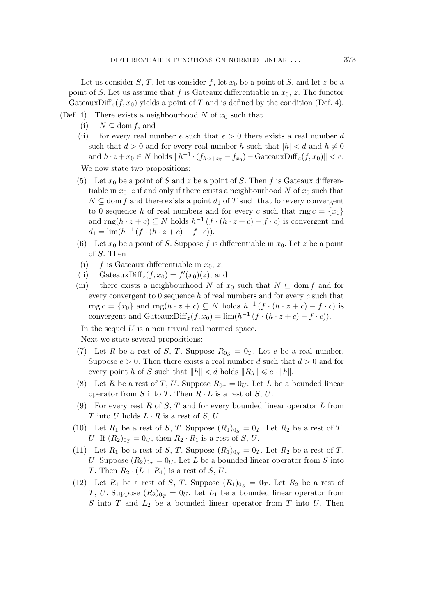Let us consider S, T, let us consider f, let  $x_0$  be a point of S, and let z be a point of S. Let us assume that f is Gateaux differentiable in  $x_0$ , z. The functor GateauxDiff<sub>z</sub> $(f, x_0)$  yields a point of T and is defined by the condition (Def. 4).

- (Def. 4) There exists a neighbourhood N of  $x_0$  such that
	- (i)  $N \subseteq \text{dom } f$ , and
	- (ii) for every real number e such that  $e > 0$  there exists a real number d such that  $d > 0$  and for every real number h such that  $|h| < d$  and  $h \neq 0$ and  $h \cdot z + x_0 \in N$  holds  $||h^{-1} \cdot (f_{h \cdot z + x_0} - f_{x_0}) -$  GateauxDiff<sub>z</sub> $(f, x_0) || < e$ . We now state two propositions:
	- (5) Let  $x_0$  be a point of S and z be a point of S. Then f is Gateaux differentiable in  $x_0$ , z if and only if there exists a neighbourhood N of  $x_0$  such that  $N \subseteq$  dom f and there exists a point  $d_1$  of T such that for every convergent to 0 sequence h of real numbers and for every c such that  $\text{rng } c = \{x_0\}$ and  $\text{rng}(h \cdot z + c) \subseteq N$  holds  $h^{-1}(f \cdot (h \cdot z + c) - f \cdot c)$  is convergent and  $d_1 = \lim_h (h^{-1}(f \cdot (h \cdot z + c) - f \cdot c)).$
	- (6) Let  $x_0$  be a point of S. Suppose f is differentiable in  $x_0$ . Let z be a point of S. Then
	- (i) f is Gateaux differentiable in  $x_0, z$ ,
	- (ii) GateauxDiff<sub>z</sub> $(f, x_0) = f'(x_0)(z)$ , and
	- (iii) there exists a neighbourhood N of  $x_0$  such that  $N \subseteq \text{dom } f$  and for every convergent to  $0$  sequence h of real numbers and for every c such that rng  $c = \{x_0\}$  and rng $(h \cdot z + c) \subseteq N$  holds  $h^{-1}(f \cdot (h \cdot z + c) - f \cdot c)$  is convergent and GateauxDiff<sub>z</sub> $(f, x_0) = \lim_h(h^{-1}(f \cdot (h \cdot z + c) - f \cdot c)).$

In the sequel  $U$  is a non trivial real normed space.

Next we state several propositions:

- (7) Let R be a rest of S, T. Suppose  $R_{0<sub>S</sub>} = 0<sub>T</sub>$ . Let e be a real number. Suppose  $e > 0$ . Then there exists a real number d such that  $d > 0$  and for every point h of S such that  $||h|| < d$  holds  $||R_h|| \leqslant e \cdot ||h||$ .
- (8) Let R be a rest of T, U. Suppose  $R_{0_T} = 0_U$ . Let L be a bounded linear operator from S into T. Then  $R \cdot L$  is a rest of S, U.
- (9) For every rest R of S, T and for every bounded linear operator L from T into U holds  $L \cdot R$  is a rest of S, U.
- (10) Let  $R_1$  be a rest of S, T. Suppose  $(R_1)_{0s} = 0_T$ . Let  $R_2$  be a rest of T, *U*. If  $(R_2)_{0_T} = 0_U$ , then  $R_2 \cdot R_1$  is a rest of *S*, *U*.
- (11) Let  $R_1$  be a rest of S, T. Suppose  $(R_1)_{0_S} = 0_T$ . Let  $R_2$  be a rest of T, U. Suppose  $(R_2)_{0_T} = 0_U$ . Let L be a bounded linear operator from S into T. Then  $R_2 \cdot (L + R_1)$  is a rest of S, U.
- (12) Let  $R_1$  be a rest of S, T. Suppose  $(R_1)_{0_S} = 0_T$ . Let  $R_2$  be a rest of T, U. Suppose  $(R_2)_{0_T} = 0_U$ . Let  $L_1$  be a bounded linear operator from S into  $T$  and  $L_2$  be a bounded linear operator from  $T$  into  $U$ . Then